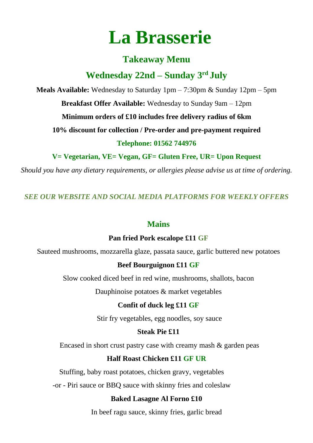# **La Brasserie**

# **Takeaway Menu**

# **Wednesday 22nd – Sunday 3 rd July**

**Meals Available:** Wednesday to Saturday 1pm – 7:30pm & Sunday 12pm – 5pm

**Breakfast Offer Available:** Wednesday to Sunday 9am – 12pm

**Minimum orders of £10 includes free delivery radius of 6km**

**10% discount for collection / Pre-order and pre-payment required**

**Telephone: 01562 744976**

**V= Vegetarian, VE= Vegan, GF= Gluten Free, UR= Upon Request**

*Should you have any dietary requirements, or allergies please advise us at time of ordering.*

*SEE OUR WEBSITE AND SOCIAL MEDIA PLATFORMS FOR WEEKLY OFFERS*

## **Mains**

## **Pan fried Pork escalope £11 GF**

Sauteed mushrooms, mozzarella glaze, passata sauce, garlic buttered new potatoes

## **Beef Bourguignon £11 GF**

Slow cooked diced beef in red wine, mushrooms, shallots, bacon

Dauphinoise potatoes & market vegetables

## **Confit of duck leg £11 GF**

Stir fry vegetables, egg noodles, soy sauce

## **Steak Pie £11**

Encased in short crust pastry case with creamy mash & garden peas

## **Half Roast Chicken £11 GF UR**

Stuffing, baby roast potatoes, chicken gravy, vegetables

-or - Piri sauce or BBQ sauce with skinny fries and coleslaw

## **Baked Lasagne Al Forno £10**

In beef ragu sauce, skinny fries, garlic bread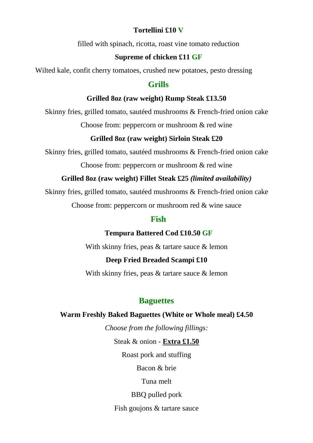#### **Tortellini £10 V**

filled with spinach, ricotta, roast vine tomato reduction

#### **Supreme of chicken £11 GF**

Wilted kale, confit cherry tomatoes, crushed new potatoes, pesto dressing

#### **Grills**

#### **Grilled 8oz (raw weight) Rump Steak £13.50**

Skinny fries, grilled tomato, sautéed mushrooms & French-fried onion cake

Choose from: peppercorn or mushroom & red wine

#### **Grilled 8oz (raw weight) Sirloin Steak £20**

Skinny fries, grilled tomato, sautéed mushrooms & French-fried onion cake

Choose from: peppercorn or mushroom & red wine

#### **Grilled 8oz (raw weight) Fillet Steak £25** *(limited availability)*

Skinny fries, grilled tomato, sautéed mushrooms & French-fried onion cake

Choose from: peppercorn or mushroom red & wine sauce

#### **Fish**

**Tempura Battered Cod £10.50 GF**

With skinny fries, peas & tartare sauce & lemon

#### **Deep Fried Breaded Scampi £10**

With skinny fries, peas & tartare sauce & lemon

#### **Baguettes**

#### **Warm Freshly Baked Baguettes (White or Whole meal) £4.50**

*Choose from the following fillings:*

Steak & onion - **Extra £1.50**

Roast pork and stuffing

Bacon & brie

Tuna melt

BBQ pulled pork

Fish goujons & tartare sauce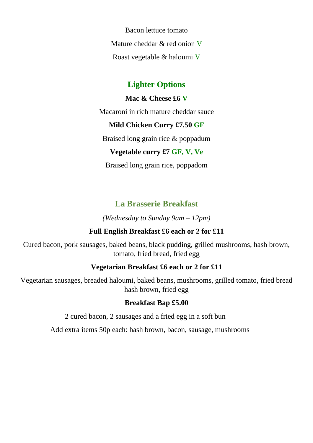Bacon lettuce tomato Mature cheddar & red onion V Roast vegetable & haloumi V

## **Lighter Options**

#### **Mac & Cheese £6 V**

Macaroni in rich mature cheddar sauce

#### **Mild Chicken Curry £7.50 GF**

Braised long grain rice & poppadum

## **Vegetable curry £7 GF, V, Ve**

Braised long grain rice, poppadom

## **La Brasserie Breakfast**

*(Wednesday to Sunday 9am – 12pm)*

## **Full English Breakfast £6 each or 2 for £11**

Cured bacon, pork sausages, baked beans, black pudding, grilled mushrooms, hash brown, tomato, fried bread, fried egg

## **Vegetarian Breakfast £6 each or 2 for £11**

Vegetarian sausages, breaded haloumi, baked beans, mushrooms, grilled tomato, fried bread hash brown, fried egg

## **Breakfast Bap £5.00**

2 cured bacon, 2 sausages and a fried egg in a soft bun

Add extra items 50p each: hash brown, bacon, sausage, mushrooms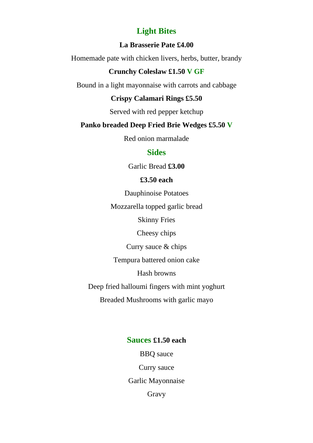## **Light Bites**

#### **La Brasserie Pate £4.00**

Homemade pate with chicken livers, herbs, butter, brandy

#### **Crunchy Coleslaw £1.50 V GF**

Bound in a light mayonnaise with carrots and cabbage

#### **Crispy Calamari Rings £5.50**

Served with red pepper ketchup

#### **Panko breaded Deep Fried Brie Wedges £5.50 V**

Red onion marmalade

#### **Sides**

Garlic Bread **£3.00**

#### **£3.50 each**

Dauphinoise Potatoes

Mozzarella topped garlic bread

Skinny Fries

Cheesy chips

Curry sauce & chips

Tempura battered onion cake

Hash browns

Deep fried halloumi fingers with mint yoghurt

Breaded Mushrooms with garlic mayo

#### **Sauces £1.50 each**

BBQ sauce Curry sauce Garlic Mayonnaise Gravy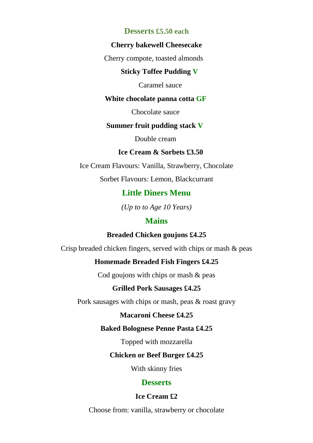#### **Desserts £5.50 each**

#### **Cherry bakewell Cheesecake**

Cherry compote, toasted almonds

#### **Sticky Toffee Pudding V**

Caramel sauce

#### **White chocolate panna cotta GF**

Chocolate sauce

#### **Summer fruit pudding stack V**

Double cream

#### **Ice Cream & Sorbets £3.50**

Ice Cream Flavours: Vanilla, Strawberry, Chocolate

Sorbet Flavours: Lemon, Blackcurrant

#### **Little Diners Menu**

*(Up to to Age 10 Years)*

#### **Mains**

#### **Breaded Chicken goujons £4.25**

Crisp breaded chicken fingers, served with chips or mash & peas

#### **Homemade Breaded Fish Fingers £4.25**

Cod goujons with chips or mash & peas

#### **Grilled Pork Sausages £4.25**

Pork sausages with chips or mash, peas & roast gravy

#### **Macaroni Cheese £4.25**

#### **Baked Bolognese Penne Pasta £4.25**

Topped with mozzarella

#### **Chicken or Beef Burger £4.25**

With skinny fries

#### **Desserts**

#### **Ice Cream £2**

Choose from: vanilla, strawberry or chocolate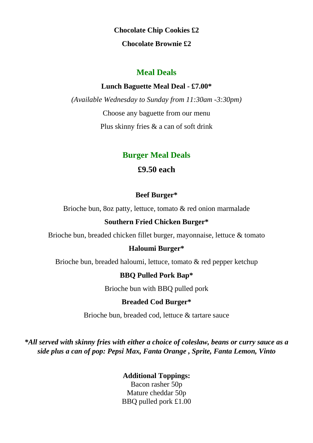**Chocolate Chip Cookies £2 Chocolate Brownie £2**

## **Meal Deals**

#### **Lunch Baguette Meal Deal - £7.00\***

*(Available Wednesday to Sunday from 11:30am -3:30pm)* Choose any baguette from our menu Plus skinny fries & a can of soft drink

## **Burger Meal Deals**

## **£9.50 each**

#### **Beef Burger\***

Brioche bun, 8oz patty, lettuce, tomato & red onion marmalade

#### **Southern Fried Chicken Burger\***

Brioche bun, breaded chicken fillet burger, mayonnaise, lettuce & tomato

#### **Haloumi Burger\***

Brioche bun, breaded haloumi, lettuce, tomato & red pepper ketchup

#### **BBQ Pulled Pork Bap\***

Brioche bun with BBQ pulled pork

#### **Breaded Cod Burger\***

Brioche bun, breaded cod, lettuce & tartare sauce

*\*All served with skinny fries with either a choice of coleslaw, beans or curry sauce as a side plus a can of pop: Pepsi Max, Fanta Orange , Sprite, Fanta Lemon, Vinto*

**Additional Toppings:**

Bacon rasher 50p Mature cheddar 50p BBQ pulled pork £1.00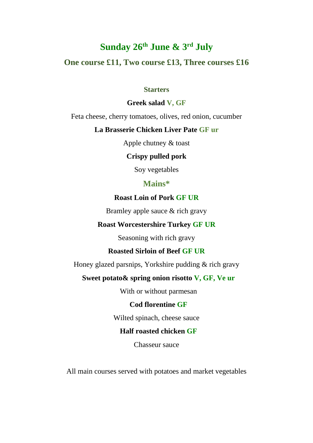# **Sunday 26th June & 3 rd July**

## **One course £11, Two course £13, Three courses £16**

#### **Starters**

#### **Greek salad V, GF**

Feta cheese, cherry tomatoes, olives, red onion, cucumber

#### **La Brasserie Chicken Liver Pate GF ur**

Apple chutney & toast

#### **Crispy pulled pork**

Soy vegetables

#### **Mains\***

#### **Roast Loin of Pork GF UR**

Bramley apple sauce & rich gravy

#### **Roast Worcestershire Turkey GF UR**

Seasoning with rich gravy

#### **Roasted Sirloin of Beef GF UR**

Honey glazed parsnips, Yorkshire pudding & rich gravy

#### **Sweet potato& spring onion risotto V, GF, Ve ur**

With or without parmesan

#### **Cod florentine GF**

Wilted spinach, cheese sauce

#### **Half roasted chicken GF**

Chasseur sauce

All main courses served with potatoes and market vegetables